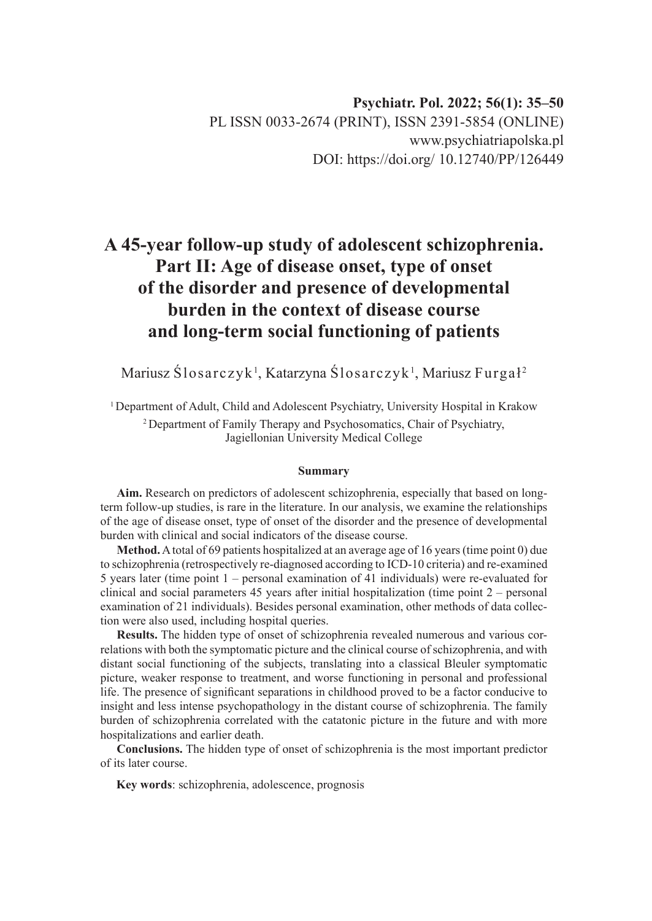# **Psychiatr. Pol. 2022; 56(1): 35–50** PL ISSN 0033-2674 (PRINT), ISSN 2391-5854 (ONLINE) www.psychiatriapolska.pl DOI: https://doi.org/ 10.12740/PP/126449

# **A 45-year follow-up study of adolescent schizophrenia. Part II: Age of disease onset, type of onset of the disorder and presence of developmental burden in the context of disease course and long-term social functioning of patients**

Mariusz Ślosarczyk $^{\rm l}$ , Katarzyna Ślosarczyk $^{\rm l}$ , Mariusz Furga $\rm l^{\rm 2}$ 

<sup>1</sup> Department of Adult, Child and Adolescent Psychiatry, University Hospital in Krakow 2 Department of Family Therapy and Psychosomatics, Chair of Psychiatry, Jagiellonian University Medical College

#### **Summary**

**Aim.** Research on predictors of adolescent schizophrenia, especially that based on longterm follow-up studies, is rare in the literature. In our analysis, we examine the relationships of the age of disease onset, type of onset of the disorder and the presence of developmental burden with clinical and social indicators of the disease course.

**Method.** A total of 69 patients hospitalized at an average age of 16 years (time point 0) due to schizophrenia (retrospectively re-diagnosed according to ICD-10 criteria) and re-examined 5 years later (time point 1 – personal examination of 41 individuals) were re-evaluated for clinical and social parameters 45 years after initial hospitalization (time point  $2$  – personal examination of 21 individuals). Besides personal examination, other methods of data collection were also used, including hospital queries.

**Results.** The hidden type of onset of schizophrenia revealed numerous and various correlations with both the symptomatic picture and the clinical course of schizophrenia, and with distant social functioning of the subjects, translating into a classical Bleuler symptomatic picture, weaker response to treatment, and worse functioning in personal and professional life. The presence of significant separations in childhood proved to be a factor conducive to insight and less intense psychopathology in the distant course of schizophrenia. The family burden of schizophrenia correlated with the catatonic picture in the future and with more hospitalizations and earlier death.

**Conclusions.** The hidden type of onset of schizophrenia is the most important predictor of its later course.

**Key words**: schizophrenia, adolescence, prognosis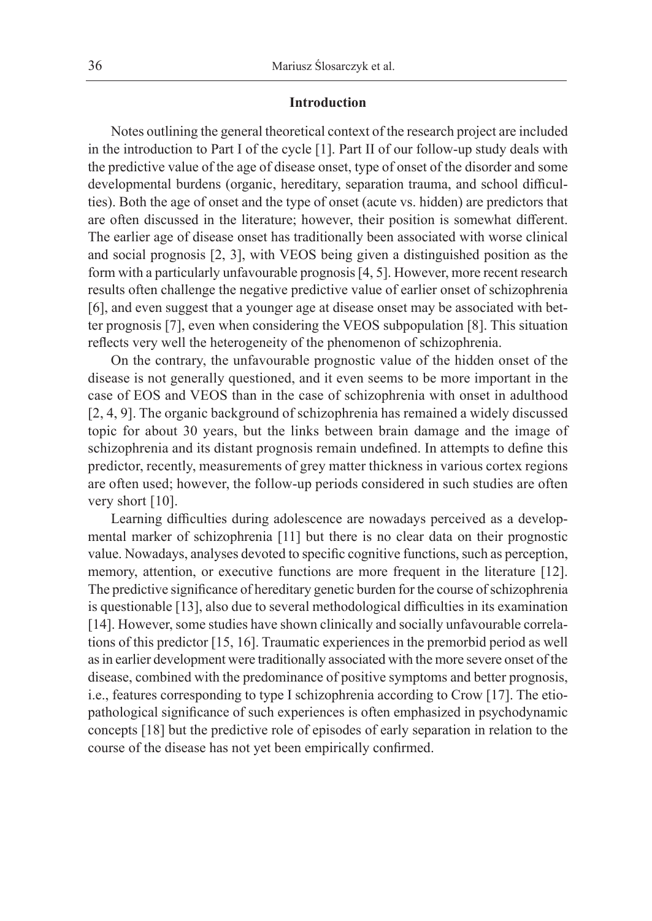#### **Introduction**

Notes outlining the general theoretical context of the research project are included in the introduction to Part I of the cycle [1]. Part II of our follow-up study deals with the predictive value of the age of disease onset, type of onset of the disorder and some developmental burdens (organic, hereditary, separation trauma, and school difficulties). Both the age of onset and the type of onset (acute vs. hidden) are predictors that are often discussed in the literature; however, their position is somewhat different. The earlier age of disease onset has traditionally been associated with worse clinical and social prognosis [2, 3], with VEOS being given a distinguished position as the form with a particularly unfavourable prognosis [4, 5]. However, more recent research results often challenge the negative predictive value of earlier onset of schizophrenia [6], and even suggest that a younger age at disease onset may be associated with better prognosis [7], even when considering the VEOS subpopulation [8]. This situation reflects very well the heterogeneity of the phenomenon of schizophrenia.

On the contrary, the unfavourable prognostic value of the hidden onset of the disease is not generally questioned, and it even seems to be more important in the case of EOS and VEOS than in the case of schizophrenia with onset in adulthood [2, 4, 9]. The organic background of schizophrenia has remained a widely discussed topic for about 30 years, but the links between brain damage and the image of schizophrenia and its distant prognosis remain undefined. In attempts to define this predictor, recently, measurements of grey matter thickness in various cortex regions are often used; however, the follow-up periods considered in such studies are often very short [10].

Learning difficulties during adolescence are nowadays perceived as a developmental marker of schizophrenia [11] but there is no clear data on their prognostic value. Nowadays, analyses devoted to specific cognitive functions, such as perception, memory, attention, or executive functions are more frequent in the literature [12]. The predictive significance of hereditary genetic burden for the course of schizophrenia is questionable [13], also due to several methodological difficulties in its examination [14]. However, some studies have shown clinically and socially unfavourable correlations of this predictor [15, 16]. Traumatic experiences in the premorbid period as well as in earlier development were traditionally associated with the more severe onset of the disease, combined with the predominance of positive symptoms and better prognosis, i.e., features corresponding to type I schizophrenia according to Crow [17]. The etiopathological significance of such experiences is often emphasized in psychodynamic concepts [18] but the predictive role of episodes of early separation in relation to the course of the disease has not yet been empirically confirmed.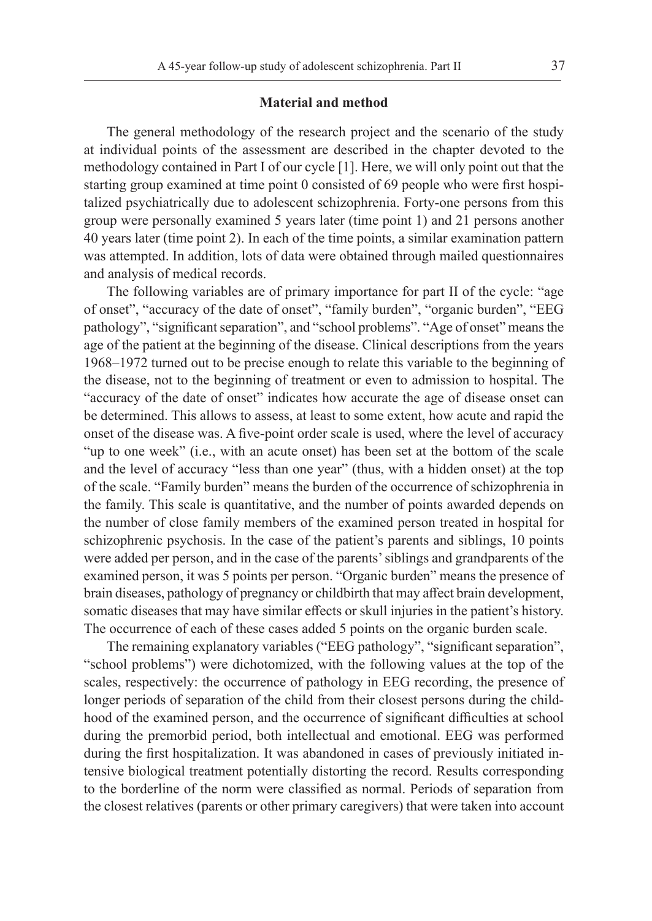#### **Material and method**

The general methodology of the research project and the scenario of the study at individual points of the assessment are described in the chapter devoted to the methodology contained in Part I of our cycle [1]. Here, we will only point out that the starting group examined at time point 0 consisted of 69 people who were first hospitalized psychiatrically due to adolescent schizophrenia. Forty-one persons from this group were personally examined 5 years later (time point 1) and 21 persons another 40 years later (time point 2). In each of the time points, a similar examination pattern was attempted. In addition, lots of data were obtained through mailed questionnaires and analysis of medical records.

The following variables are of primary importance for part II of the cycle: "age of onset", "accuracy of the date of onset", "family burden", "organic burden", "EEG pathology", "significant separation", and "school problems". "Age of onset" means the age of the patient at the beginning of the disease. Clinical descriptions from the years 1968–1972 turned out to be precise enough to relate this variable to the beginning of the disease, not to the beginning of treatment or even to admission to hospital. The "accuracy of the date of onset" indicates how accurate the age of disease onset can be determined. This allows to assess, at least to some extent, how acute and rapid the onset of the disease was. A five-point order scale is used, where the level of accuracy "up to one week" (i.e., with an acute onset) has been set at the bottom of the scale and the level of accuracy "less than one year" (thus, with a hidden onset) at the top of the scale. "Family burden" means the burden of the occurrence of schizophrenia in the family. This scale is quantitative, and the number of points awarded depends on the number of close family members of the examined person treated in hospital for schizophrenic psychosis. In the case of the patient's parents and siblings, 10 points were added per person, and in the case of the parents' siblings and grandparents of the examined person, it was 5 points per person. "Organic burden" means the presence of brain diseases, pathology of pregnancy or childbirth that may affect brain development, somatic diseases that may have similar effects or skull injuries in the patient's history. The occurrence of each of these cases added 5 points on the organic burden scale.

The remaining explanatory variables ("EEG pathology", "significant separation", "school problems") were dichotomized, with the following values at the top of the scales, respectively: the occurrence of pathology in EEG recording, the presence of longer periods of separation of the child from their closest persons during the childhood of the examined person, and the occurrence of significant difficulties at school during the premorbid period, both intellectual and emotional. EEG was performed during the first hospitalization. It was abandoned in cases of previously initiated intensive biological treatment potentially distorting the record. Results corresponding to the borderline of the norm were classified as normal. Periods of separation from the closest relatives (parents or other primary caregivers) that were taken into account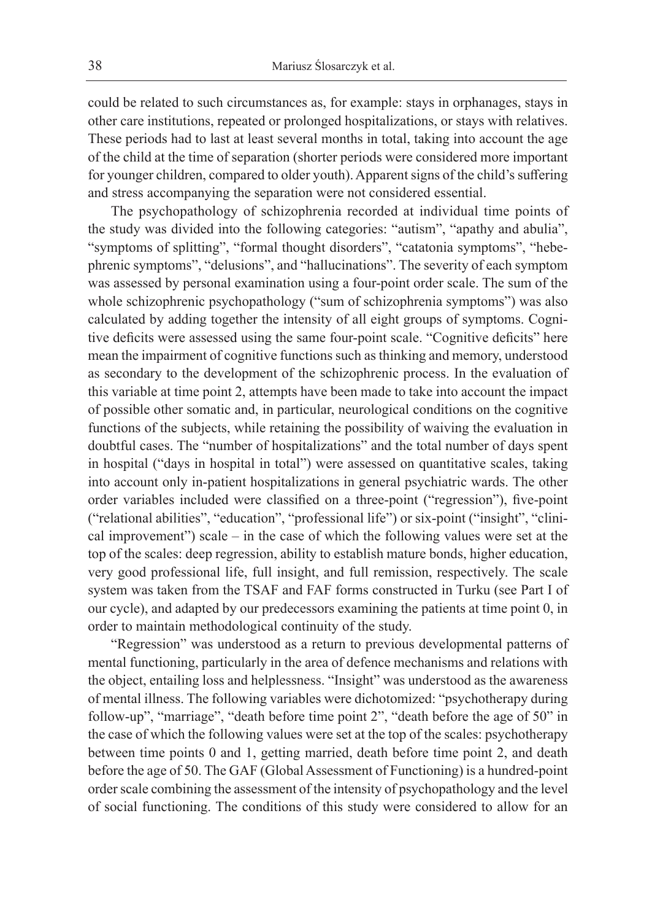could be related to such circumstances as, for example: stays in orphanages, stays in other care institutions, repeated or prolonged hospitalizations, or stays with relatives. These periods had to last at least several months in total, taking into account the age of the child at the time of separation (shorter periods were considered more important for younger children, compared to older youth). Apparent signs of the child's suffering and stress accompanying the separation were not considered essential.

The psychopathology of schizophrenia recorded at individual time points of the study was divided into the following categories: "autism", "apathy and abulia", "symptoms of splitting", "formal thought disorders", "catatonia symptoms", "hebephrenic symptoms", "delusions", and "hallucinations". The severity of each symptom was assessed by personal examination using a four-point order scale. The sum of the whole schizophrenic psychopathology ("sum of schizophrenia symptoms") was also calculated by adding together the intensity of all eight groups of symptoms. Cognitive deficits were assessed using the same four-point scale. "Cognitive deficits" here mean the impairment of cognitive functions such as thinking and memory, understood as secondary to the development of the schizophrenic process. In the evaluation of this variable at time point 2, attempts have been made to take into account the impact of possible other somatic and, in particular, neurological conditions on the cognitive functions of the subjects, while retaining the possibility of waiving the evaluation in doubtful cases. The "number of hospitalizations" and the total number of days spent in hospital ("days in hospital in total") were assessed on quantitative scales, taking into account only in-patient hospitalizations in general psychiatric wards. The other order variables included were classified on a three-point ("regression"), five-point ("relational abilities", "education", "professional life") or six-point ("insight", "clinical improvement") scale – in the case of which the following values were set at the top of the scales: deep regression, ability to establish mature bonds, higher education, very good professional life, full insight, and full remission, respectively. The scale system was taken from the TSAF and FAF forms constructed in Turku (see Part I of our cycle), and adapted by our predecessors examining the patients at time point 0, in order to maintain methodological continuity of the study.

"Regression" was understood as a return to previous developmental patterns of mental functioning, particularly in the area of defence mechanisms and relations with the object, entailing loss and helplessness. "Insight" was understood as the awareness of mental illness. The following variables were dichotomized: "psychotherapy during follow-up", "marriage", "death before time point 2", "death before the age of 50" in the case of which the following values were set at the top of the scales: psychotherapy between time points 0 and 1, getting married, death before time point 2, and death before the age of 50. The GAF (Global Assessment of Functioning) is a hundred-point order scale combining the assessment of the intensity of psychopathology and the level of social functioning. The conditions of this study were considered to allow for an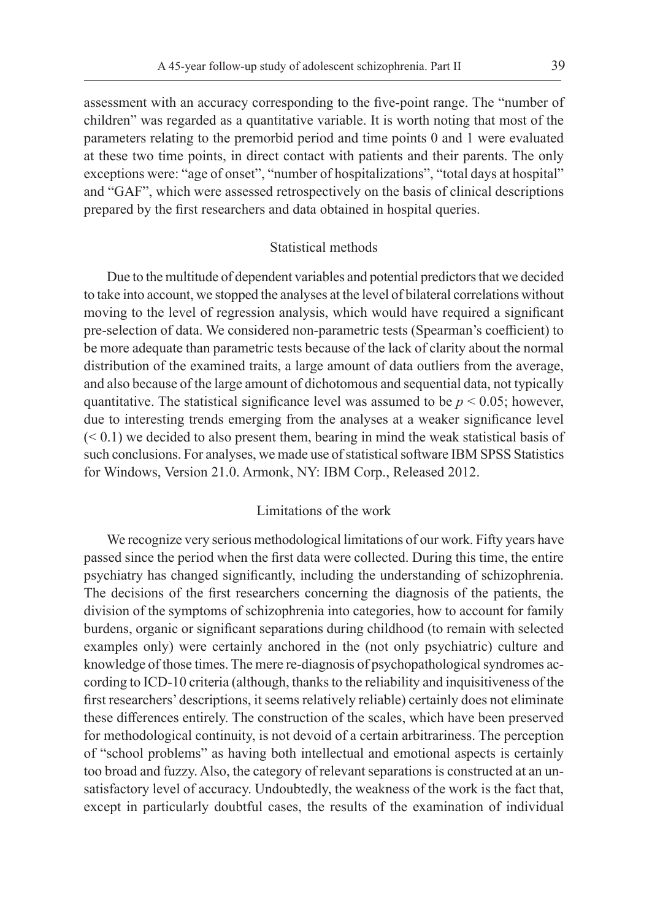assessment with an accuracy corresponding to the five-point range. The "number of children" was regarded as a quantitative variable. It is worth noting that most of the parameters relating to the premorbid period and time points 0 and 1 were evaluated at these two time points, in direct contact with patients and their parents. The only exceptions were: "age of onset", "number of hospitalizations", "total days at hospital" and "GAF", which were assessed retrospectively on the basis of clinical descriptions prepared by the first researchers and data obtained in hospital queries.

#### Statistical methods

Due to the multitude of dependent variables and potential predictors that we decided to take into account, we stopped the analyses at the level of bilateral correlations without moving to the level of regression analysis, which would have required a significant pre-selection of data. We considered non-parametric tests (Spearman's coefficient) to be more adequate than parametric tests because of the lack of clarity about the normal distribution of the examined traits, a large amount of data outliers from the average, and also because of the large amount of dichotomous and sequential data, not typically quantitative. The statistical significance level was assumed to be  $p < 0.05$ ; however, due to interesting trends emerging from the analyses at a weaker significance level  $( $0.1$ ) we decided to also present them, bearing in mind the weak statistical basis of$ such conclusions. For analyses, we made use of statistical software IBM SPSS Statistics for Windows, Version 21.0. Armonk, NY: IBM Corp., Released 2012.

# Limitations of the work

We recognize very serious methodological limitations of our work. Fifty years have passed since the period when the first data were collected. During this time, the entire psychiatry has changed significantly, including the understanding of schizophrenia. The decisions of the first researchers concerning the diagnosis of the patients, the division of the symptoms of schizophrenia into categories, how to account for family burdens, organic or significant separations during childhood (to remain with selected examples only) were certainly anchored in the (not only psychiatric) culture and knowledge of those times. The mere re-diagnosis of psychopathological syndromes according to ICD-10 criteria (although, thanks to the reliability and inquisitiveness of the first researchers' descriptions, it seems relatively reliable) certainly does not eliminate these differences entirely. The construction of the scales, which have been preserved for methodological continuity, is not devoid of a certain arbitrariness. The perception of "school problems" as having both intellectual and emotional aspects is certainly too broad and fuzzy. Also, the category of relevant separations is constructed at an unsatisfactory level of accuracy. Undoubtedly, the weakness of the work is the fact that, except in particularly doubtful cases, the results of the examination of individual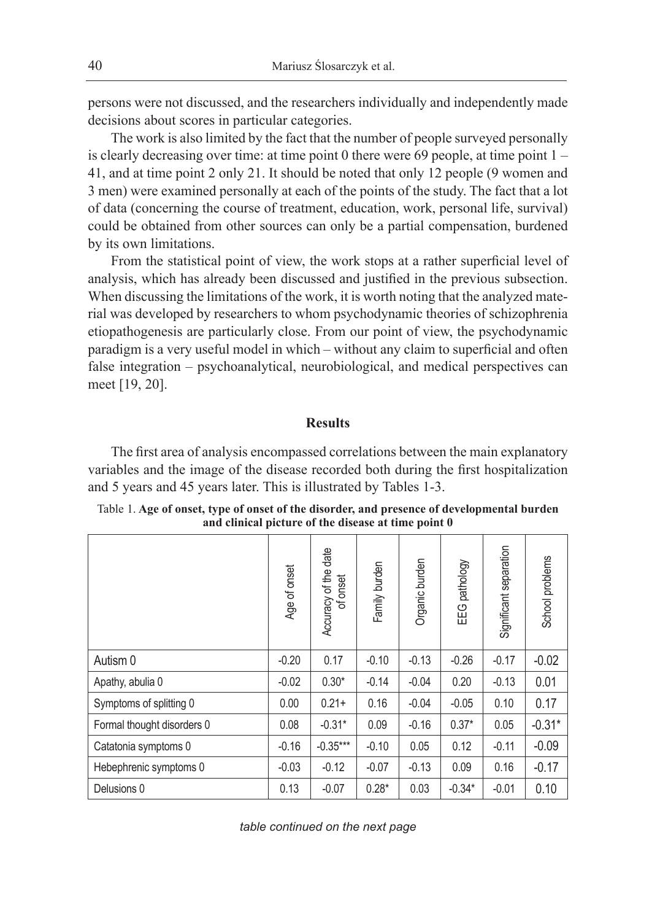persons were not discussed, and the researchers individually and independently made decisions about scores in particular categories.

The work is also limited by the fact that the number of people surveyed personally is clearly decreasing over time: at time point 0 there were 69 people, at time point 1 – 41, and at time point 2 only 21. It should be noted that only 12 people (9 women and 3 men) were examined personally at each of the points of the study. The fact that a lot of data (concerning the course of treatment, education, work, personal life, survival) could be obtained from other sources can only be a partial compensation, burdened by its own limitations.

From the statistical point of view, the work stops at a rather superficial level of analysis, which has already been discussed and justified in the previous subsection. When discussing the limitations of the work, it is worth noting that the analyzed material was developed by researchers to whom psychodynamic theories of schizophrenia etiopathogenesis are particularly close. From our point of view, the psychodynamic paradigm is a very useful model in which – without any claim to superficial and often false integration – psychoanalytical, neurobiological, and medical perspectives can meet [19, 20].

# **Results**

The first area of analysis encompassed correlations between the main explanatory variables and the image of the disease recorded both during the first hospitalization and 5 years and 45 years later. This is illustrated by Tables 1-3.

|                            | Age of onset | date<br>Accuracy of the<br>onset<br>৳ | Family burden | Organic burden | EEG pathology | Significant separation | School problems |  |
|----------------------------|--------------|---------------------------------------|---------------|----------------|---------------|------------------------|-----------------|--|
| Autism 0                   | $-0.20$      | 0.17                                  | $-0.10$       | $-0.13$        | $-0.26$       | $-0.17$                | $-0.02$         |  |
| Apathy, abulia 0           | $-0.02$      | $0.30*$                               | $-0.14$       | $-0.04$        | 0.20          | $-0.13$                | 0.01            |  |
| Symptoms of splitting 0    | 0.00         | $0.21 +$                              | 0.16          | $-0.04$        | $-0.05$       | 0.10                   | 0.17            |  |
| Formal thought disorders 0 | 0.08         | $-0.31*$                              | 0.09          | $-0.16$        | $0.37*$       | 0.05                   | $-0.31*$        |  |
| Catatonia symptoms 0       | $-0.16$      | $-0.35***$                            | $-0.10$       | 0.05           | 0.12          | $-0.11$                | $-0.09$         |  |
| Hebephrenic symptoms 0     | $-0.03$      | $-0.12$                               | $-0.07$       | $-0.13$        | 0.09          | 0.16                   | $-0.17$         |  |
| Delusions 0                | 0.13         | $-0.07$                               | $0.28*$       | 0.03           | $-0.34*$      | $-0.01$                | 0.10            |  |

Table 1. **Age of onset, type of onset of the disorder, and presence of developmental burden and clinical picture of the disease at time point 0**

*table continued on the next page*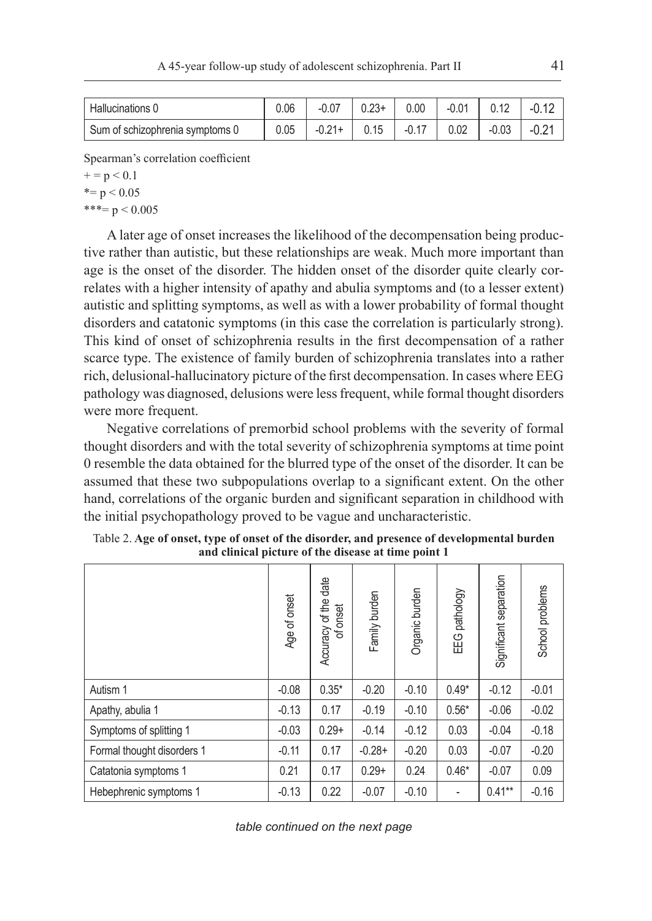| Hallucinations 0                | 0.06 | $-0.07$  | $0.23+$ | 0.00    | $-0.01$ | 0.12    | $-0.12$ |
|---------------------------------|------|----------|---------|---------|---------|---------|---------|
| Sum of schizophrenia symptoms 0 | 0.05 | $-0.21+$ | 0.15    | $-0.17$ | 0.02    | $-0.03$ | $-0.24$ |

Spearman's correlation coefficient

 $+= p < 0.1$ 

$$
* = p < 0.05
$$

\*\*\*=  $p < 0.005$ 

A later age of onset increases the likelihood of the decompensation being productive rather than autistic, but these relationships are weak. Much more important than age is the onset of the disorder. The hidden onset of the disorder quite clearly correlates with a higher intensity of apathy and abulia symptoms and (to a lesser extent) autistic and splitting symptoms, as well as with a lower probability of formal thought disorders and catatonic symptoms (in this case the correlation is particularly strong). This kind of onset of schizophrenia results in the first decompensation of a rather scarce type. The existence of family burden of schizophrenia translates into a rather rich, delusional-hallucinatory picture of the first decompensation. In cases where EEG pathology was diagnosed, delusions were less frequent, while formal thought disorders were more frequent.

Negative correlations of premorbid school problems with the severity of formal thought disorders and with the total severity of schizophrenia symptoms at time point 0 resemble the data obtained for the blurred type of the onset of the disorder. It can be assumed that these two subpopulations overlap to a significant extent. On the other hand, correlations of the organic burden and significant separation in childhood with the initial psychopathology proved to be vague and uncharacteristic.

|                            | Age of onset | date<br>Accuracy of the<br>onset<br>৳ | Family burden | Organic burden | pathology<br>EEG         | Significant separation | School problems |
|----------------------------|--------------|---------------------------------------|---------------|----------------|--------------------------|------------------------|-----------------|
| Autism 1                   | $-0.08$      | $0.35*$                               | $-0.20$       | $-0.10$        | $0.49*$                  | $-0.12$                | $-0.01$         |
| Apathy, abulia 1           | $-0.13$      | 0.17                                  | $-0.19$       | $-0.10$        | $0.56*$                  | $-0.06$                | $-0.02$         |
| Symptoms of splitting 1    | $-0.03$      | $0.29+$                               | $-0.14$       | $-0.12$        | 0.03                     | $-0.04$                | $-0.18$         |
| Formal thought disorders 1 | $-0.11$      | 0.17                                  | $-0.28+$      | $-0.20$        | 0.03                     | $-0.07$                | $-0.20$         |
| Catatonia symptoms 1       | 0.21         | 0.17                                  | $0.29+$       | 0.24           | $0.46*$                  | $-0.07$                | 0.09            |
| Hebephrenic symptoms 1     | $-0.13$      | 0.22                                  | $-0.07$       | $-0.10$        | $\overline{\phantom{a}}$ | $0.41**$               | $-0.16$         |

Table 2. **Age of onset, type of onset of the disorder, and presence of developmental burden and clinical picture of the disease at time point 1**

*table continued on the next page*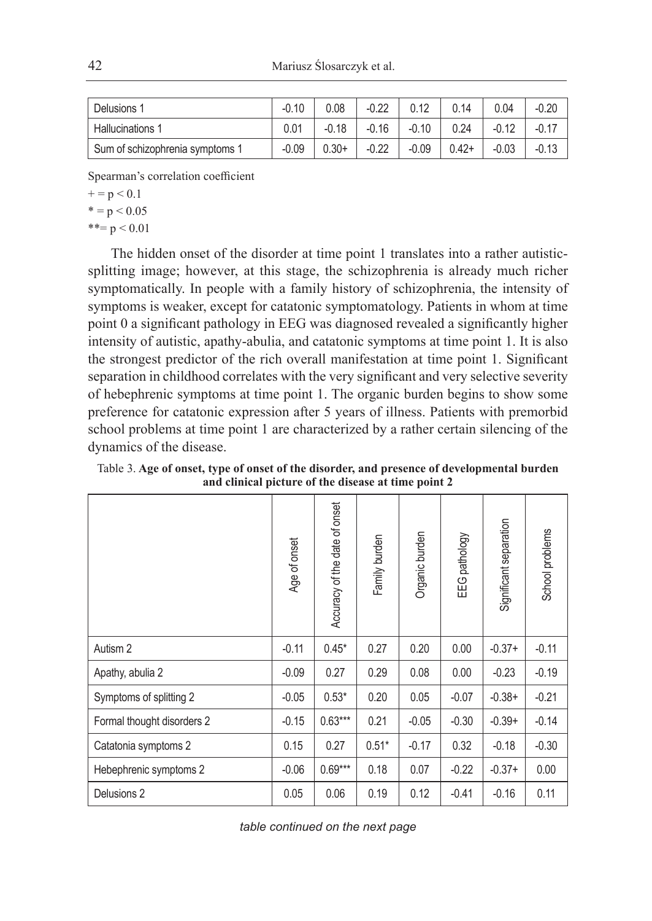| Delusions 1                     | $-0.10$ | 0.08    | $-0.22$ | 0.12    | 0.14    | 0.04    | $-0.20$ |
|---------------------------------|---------|---------|---------|---------|---------|---------|---------|
| <b>Hallucinations 1</b>         | 0.01    | $-0.18$ | $-0.16$ | $-0.10$ | 0.24    | $-0.12$ |         |
| Sum of schizophrenia symptoms 1 | $-0.09$ | $0.30+$ | $-0.22$ | $-0.09$ | $0.42+$ | $-0.03$ | $-0.13$ |

Spearman's correlation coefficient

 $+ = p < 0.1$ 

 $* = p < 0.05$ 

 $***= p < 0.01$ 

The hidden onset of the disorder at time point 1 translates into a rather autisticsplitting image; however, at this stage, the schizophrenia is already much richer symptomatically. In people with a family history of schizophrenia, the intensity of symptoms is weaker, except for catatonic symptomatology. Patients in whom at time point 0 a significant pathology in EEG was diagnosed revealed a significantly higher intensity of autistic, apathy-abulia, and catatonic symptoms at time point 1. It is also the strongest predictor of the rich overall manifestation at time point 1. Significant separation in childhood correlates with the very significant and very selective severity of hebephrenic symptoms at time point 1. The organic burden begins to show some preference for catatonic expression after 5 years of illness. Patients with premorbid school problems at time point 1 are characterized by a rather certain silencing of the dynamics of the disease.

|                            | Age of onset | Accuracy of the date of onset | Family burden | Organic burden | pathology<br>EEG | Significant separation | School problems |
|----------------------------|--------------|-------------------------------|---------------|----------------|------------------|------------------------|-----------------|
| Autism 2                   | $-0.11$      | $0.45*$                       | 0.27          | 0.20           | 0.00             | $-0.37+$               | $-0.11$         |
| Apathy, abulia 2           | $-0.09$      | 0.27                          | 0.29          | 0.08           | 0.00             | $-0.23$                | $-0.19$         |
| Symptoms of splitting 2    | $-0.05$      | $0.53*$                       | 0.20          | 0.05           | $-0.07$          | $-0.38+$               | $-0.21$         |
| Formal thought disorders 2 | $-0.15$      | $0.63***$                     | 0.21          | $-0.05$        | $-0.30$          | $-0.39+$               | $-0.14$         |
| Catatonia symptoms 2       | 0.15         | 0.27                          | $0.51*$       | $-0.17$        | 0.32             | $-0.18$                | $-0.30$         |
| Hebephrenic symptoms 2     | $-0.06$      | $0.69***$                     | 0.18          | 0.07           | $-0.22$          | $-0.37+$               | 0.00            |
| Delusions 2                | 0.05         | 0.06                          | 0.19          | 0.12           | $-0.41$          | $-0.16$                | 0.11            |

Table 3. **Age of onset, type of onset of the disorder, and presence of developmental burden and clinical picture of the disease at time point 2**

*table continued on the next page*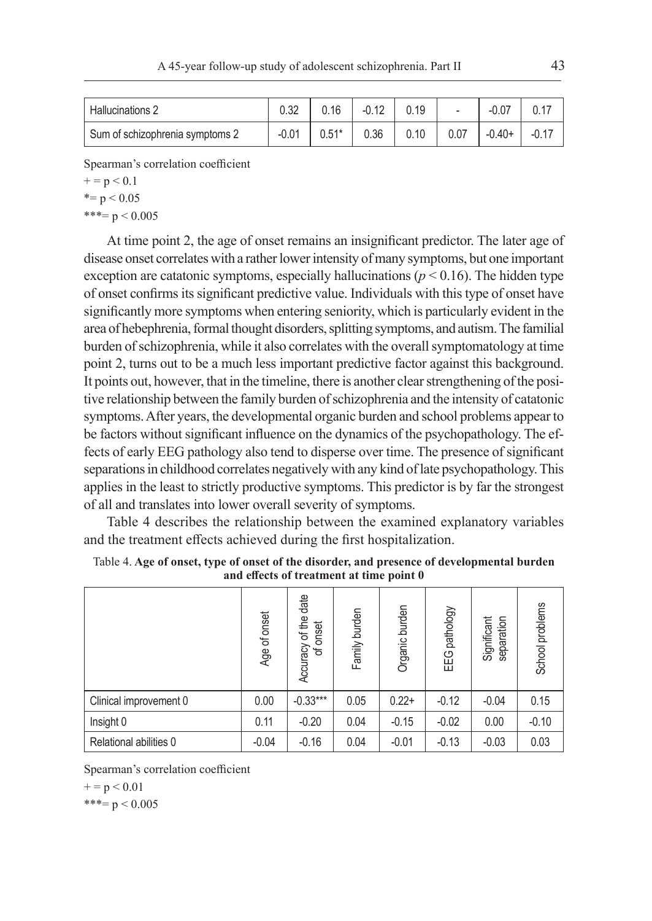| <b>Hallucinations 2</b>         | 0.32    | 0.16    | $-0.12$ | 0.19 | $\overline{\phantom{a}}$ | $-0.07$  |         |
|---------------------------------|---------|---------|---------|------|--------------------------|----------|---------|
| Sum of schizophrenia symptoms 2 | $-0.01$ | $0.51*$ | 0.36    | 0.10 | 0.07                     | $-0.40+$ | $-0.17$ |

Spearman's correlation coefficient

 $+ = p < 0.1$ 

 $* = p < 0.05$ 

 $***= p < 0.005$ 

At time point 2, the age of onset remains an insignificant predictor. The later age of disease onset correlates with a rather lower intensity of many symptoms, but one important exception are catatonic symptoms, especially hallucinations ( $p < 0.16$ ). The hidden type of onset confirms its significant predictive value. Individuals with this type of onset have significantly more symptoms when entering seniority, which is particularly evident in the area of hebephrenia, formal thought disorders, splitting symptoms, and autism. The familial burden of schizophrenia, while it also correlates with the overall symptomatology at time point 2, turns out to be a much less important predictive factor against this background. It points out, however, that in the timeline, there is another clear strengthening of the positive relationship between the family burden of schizophrenia and the intensity of catatonic symptoms. After years, the developmental organic burden and school problems appear to be factors without significant influence on the dynamics of the psychopathology. The effects of early EEG pathology also tend to disperse over time. The presence of significant separations in childhood correlates negatively with any kind of late psychopathology. This applies in the least to strictly productive symptoms. This predictor is by far the strongest of all and translates into lower overall severity of symptoms.

Table 4 describes the relationship between the examined explanatory variables and the treatment effects achieved during the first hospitalization.

|                        | Age of onset | Accuracy of the date<br>onset<br>৳ | Family burden | Organic burden | pathology<br>EEG | Significant<br>separation | School problems |
|------------------------|--------------|------------------------------------|---------------|----------------|------------------|---------------------------|-----------------|
| Clinical improvement 0 | 0.00         | $-0.33***$                         | 0.05          | $0.22+$        | $-0.12$          | $-0.04$                   | 0.15            |
| Insight 0              | 0.11         | $-0.20$                            | 0.04          | $-0.15$        | $-0.02$          | 0.00                      | $-0.10$         |
| Relational abilities 0 | $-0.04$      | $-0.16$                            | 0.04          | $-0.01$        | $-0.13$          | $-0.03$                   | 0.03            |

Table 4. **Age of onset, type of onset of the disorder, and presence of developmental burden and effects of treatment at time point 0**

Spearman's correlation coefficient

 $+ = p < 0.01$ 

 $***= p < 0.005$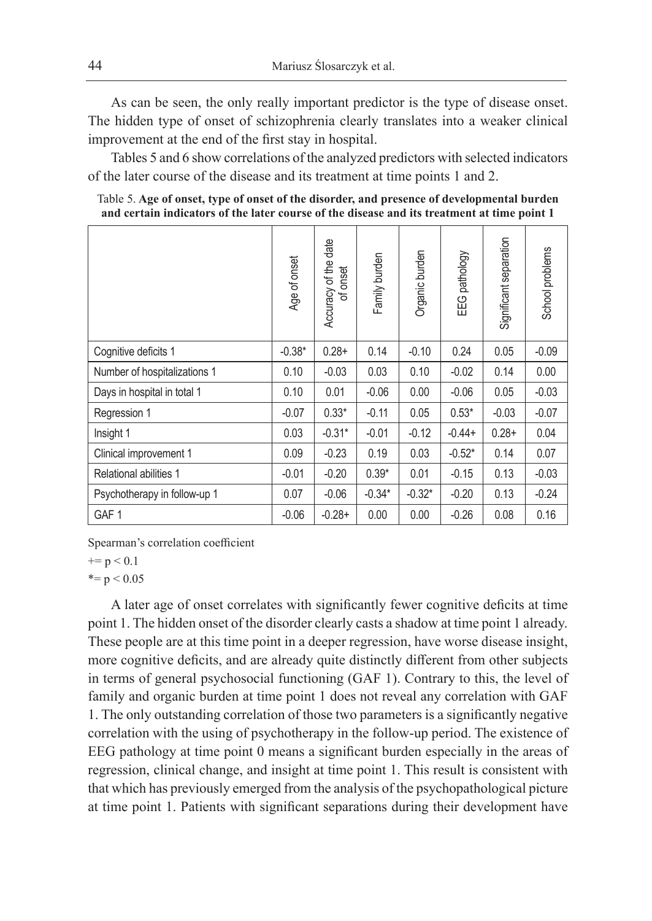As can be seen, the only really important predictor is the type of disease onset. The hidden type of onset of schizophrenia clearly translates into a weaker clinical improvement at the end of the first stay in hospital.

Tables 5 and 6 show correlations of the analyzed predictors with selected indicators of the later course of the disease and its treatment at time points 1 and 2.

Table 5. **Age of onset, type of onset of the disorder, and presence of developmental burden and certain indicators of the later course of the disease and its treatment at time point 1**

|                               | Age of onset | date<br>Accuracy of the<br>of onset | Family burden | Organic burden | pathology<br>EEG | Significant separation | School problems |
|-------------------------------|--------------|-------------------------------------|---------------|----------------|------------------|------------------------|-----------------|
| Cognitive deficits 1          | $-0.38*$     | $0.28 +$                            | 0.14          | $-0.10$        | 0.24             | 0.05                   | $-0.09$         |
| Number of hospitalizations 1  | 0.10         | $-0.03$                             | 0.03          | 0.10           | $-0.02$          | 0.14                   | 0.00            |
| Days in hospital in total 1   | 0.10         | 0.01                                | $-0.06$       | 0.00           | $-0.06$          | 0.05                   | $-0.03$         |
| Regression 1                  | $-0.07$      | $0.33*$                             | $-0.11$       | 0.05           | $0.53*$          | $-0.03$                | $-0.07$         |
| Insight 1                     | 0.03         | $-0.31*$                            | $-0.01$       | $-0.12$        | $-0.44+$         | $0.28 +$               | 0.04            |
| Clinical improvement 1        | 0.09         | $-0.23$                             | 0.19          | 0.03           | $-0.52*$         | 0.14                   | 0.07            |
| <b>Relational abilities 1</b> | $-0.01$      | $-0.20$                             | $0.39*$       | 0.01           | $-0.15$          | 0.13                   | $-0.03$         |
| Psychotherapy in follow-up 1  | 0.07         | $-0.06$                             | $-0.34*$      | $-0.32*$       | $-0.20$          | 0.13                   | $-0.24$         |
| GAF <sub>1</sub>              | $-0.06$      | $-0.28+$                            | 0.00          | 0.00           | $-0.26$          | 0.08                   | 0.16            |

Spearman's correlation coefficient

 $+= p < 0.1$ 

 $* = p < 0.05$ 

A later age of onset correlates with significantly fewer cognitive deficits at time point 1. The hidden onset of the disorder clearly casts a shadow at time point 1 already. These people are at this time point in a deeper regression, have worse disease insight, more cognitive deficits, and are already quite distinctly different from other subjects in terms of general psychosocial functioning (GAF 1). Contrary to this, the level of family and organic burden at time point 1 does not reveal any correlation with GAF 1. The only outstanding correlation of those two parameters is a significantly negative correlation with the using of psychotherapy in the follow-up period. The existence of EEG pathology at time point 0 means a significant burden especially in the areas of regression, clinical change, and insight at time point 1. This result is consistent with that which has previously emerged from the analysis of the psychopathological picture at time point 1. Patients with significant separations during their development have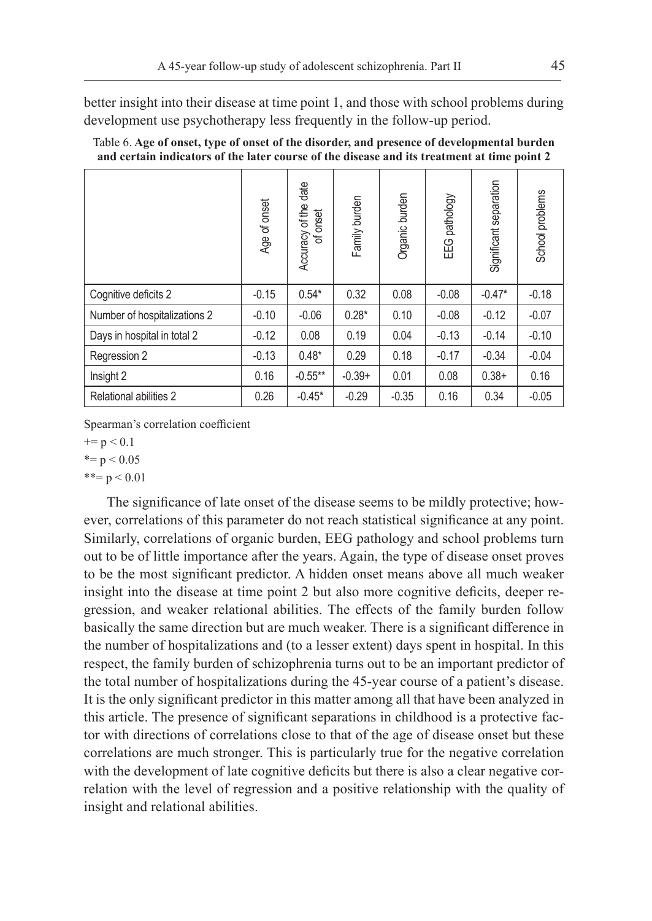better insight into their disease at time point 1, and those with school problems during development use psychotherapy less frequently in the follow-up period.

|                              | Age of onset | Accuracy of the date<br>onset<br>゚゚゚゚ | Family burden | Organic burden | pathology<br>EEG | Significant separation | School problems |
|------------------------------|--------------|---------------------------------------|---------------|----------------|------------------|------------------------|-----------------|
| Cognitive deficits 2         | $-0.15$      | $0.54*$                               | 0.32          | 0.08           | $-0.08$          | $-0.47*$               | $-0.18$         |
| Number of hospitalizations 2 | $-0.10$      | $-0.06$                               | $0.28*$       | 0.10           | $-0.08$          | $-0.12$                | $-0.07$         |
| Days in hospital in total 2  | $-0.12$      | 0.08                                  | 0.19          | 0.04           | $-0.13$          | $-0.14$                | $-0.10$         |
| Regression 2                 | $-0.13$      | $0.48*$                               | 0.29          | 0.18           | $-0.17$          | $-0.34$                | $-0.04$         |
| Insight 2                    | 0.16         | $-0.55***$                            | $-0.39+$      | 0.01           | 0.08             | $0.38+$                | 0.16            |
| Relational abilities 2       | 0.26         | $-0.45*$                              | $-0.29$       | $-0.35$        | 0.16             | 0.34                   | $-0.05$         |

| Table 6. Age of onset, type of onset of the disorder, and presence of developmental burden  |  |
|---------------------------------------------------------------------------------------------|--|
| and certain indicators of the later course of the disease and its treatment at time point 2 |  |

Spearman's correlation coefficient

 $+= p < 0.1$ 

# $* = p < 0.05$

 $***= p < 0.01$ 

The significance of late onset of the disease seems to be mildly protective; however, correlations of this parameter do not reach statistical significance at any point. Similarly, correlations of organic burden, EEG pathology and school problems turn out to be of little importance after the years. Again, the type of disease onset proves to be the most significant predictor. A hidden onset means above all much weaker insight into the disease at time point 2 but also more cognitive deficits, deeper regression, and weaker relational abilities. The effects of the family burden follow basically the same direction but are much weaker. There is a significant difference in the number of hospitalizations and (to a lesser extent) days spent in hospital. In this respect, the family burden of schizophrenia turns out to be an important predictor of the total number of hospitalizations during the 45-year course of a patient's disease. It is the only significant predictor in this matter among all that have been analyzed in this article. The presence of significant separations in childhood is a protective factor with directions of correlations close to that of the age of disease onset but these correlations are much stronger. This is particularly true for the negative correlation with the development of late cognitive deficits but there is also a clear negative correlation with the level of regression and a positive relationship with the quality of insight and relational abilities.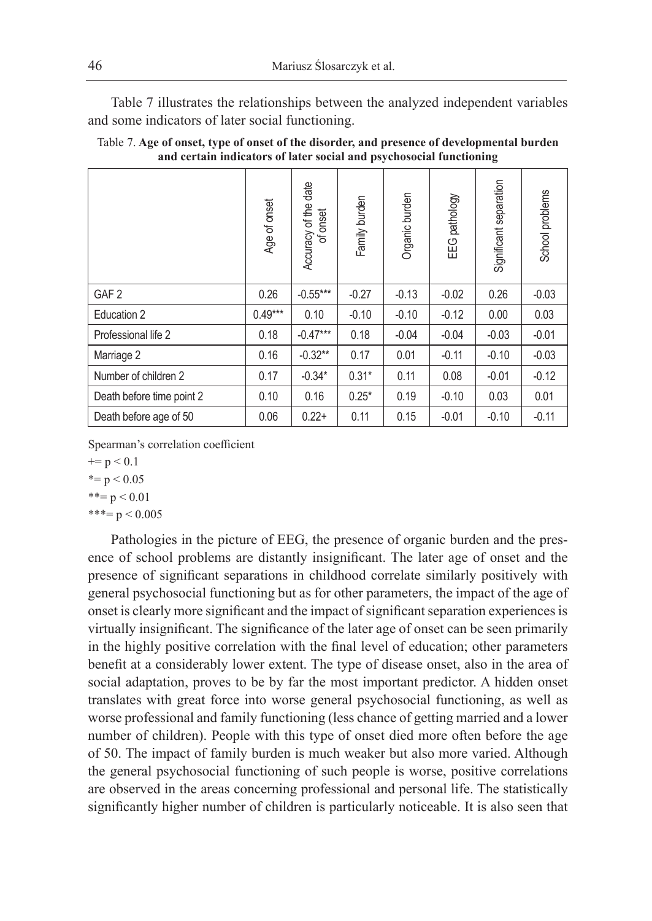Table 7 illustrates the relationships between the analyzed independent variables and some indicators of later social functioning.

|                           | Age of onset | Accuracy of the date<br>onset<br>늉 | Family burden | Organic burden | pathology<br>EEG | Significant separation | School problems |
|---------------------------|--------------|------------------------------------|---------------|----------------|------------------|------------------------|-----------------|
| GAF <sub>2</sub>          | 0.26         | $-0.55***$                         | $-0.27$       | $-0.13$        | $-0.02$          | 0.26                   | $-0.03$         |
| Education 2               | $0.49***$    | 0.10                               | $-0.10$       | $-0.10$        | $-0.12$          | 0.00                   | 0.03            |
| Professional life 2       | 0.18         | $-0.47***$                         | 0.18          | $-0.04$        | $-0.04$          | $-0.03$                | $-0.01$         |
| Marriage 2                | 0.16         | $-0.32**$                          | 0.17          | 0.01           | $-0.11$          | $-0.10$                | $-0.03$         |
| Number of children 2      | 0.17         | $-0.34*$                           | $0.31*$       | 0.11           | 0.08             | $-0.01$                | $-0.12$         |
| Death before time point 2 | 0.10         | 0.16                               | $0.25*$       | 0.19           | $-0.10$          | 0.03                   | 0.01            |
| Death before age of 50    | 0.06         | $0.22+$                            | 0.11          | 0.15           | $-0.01$          | $-0.10$                | $-0.11$         |

Table 7. **Age of onset, type of onset of the disorder, and presence of developmental burden and certain indicators of later social and psychosocial functioning**

Spearman's correlation coefficient

 $+= p < 0.1$ 

 $* = p < 0.05$ 

 $***= p < 0.01$ 

 $***= p < 0.005$ 

Pathologies in the picture of EEG, the presence of organic burden and the presence of school problems are distantly insignificant. The later age of onset and the presence of significant separations in childhood correlate similarly positively with general psychosocial functioning but as for other parameters, the impact of the age of onset is clearly more significant and the impact of significant separation experiences is virtually insignificant. The significance of the later age of onset can be seen primarily in the highly positive correlation with the final level of education; other parameters benefit at a considerably lower extent. The type of disease onset, also in the area of social adaptation, proves to be by far the most important predictor. A hidden onset translates with great force into worse general psychosocial functioning, as well as worse professional and family functioning (less chance of getting married and a lower number of children). People with this type of onset died more often before the age of 50. The impact of family burden is much weaker but also more varied. Although the general psychosocial functioning of such people is worse, positive correlations are observed in the areas concerning professional and personal life. The statistically significantly higher number of children is particularly noticeable. It is also seen that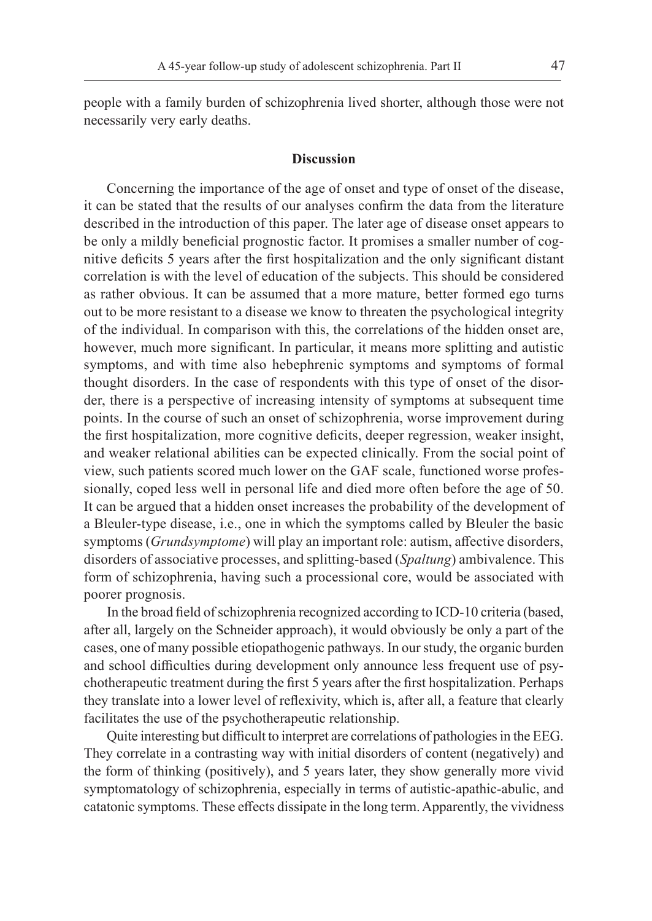people with a family burden of schizophrenia lived shorter, although those were not necessarily very early deaths.

## **Discussion**

Concerning the importance of the age of onset and type of onset of the disease, it can be stated that the results of our analyses confirm the data from the literature described in the introduction of this paper. The later age of disease onset appears to be only a mildly beneficial prognostic factor. It promises a smaller number of cognitive deficits 5 years after the first hospitalization and the only significant distant correlation is with the level of education of the subjects. This should be considered as rather obvious. It can be assumed that a more mature, better formed ego turns out to be more resistant to a disease we know to threaten the psychological integrity of the individual. In comparison with this, the correlations of the hidden onset are, however, much more significant. In particular, it means more splitting and autistic symptoms, and with time also hebephrenic symptoms and symptoms of formal thought disorders. In the case of respondents with this type of onset of the disorder, there is a perspective of increasing intensity of symptoms at subsequent time points. In the course of such an onset of schizophrenia, worse improvement during the first hospitalization, more cognitive deficits, deeper regression, weaker insight, and weaker relational abilities can be expected clinically. From the social point of view, such patients scored much lower on the GAF scale, functioned worse professionally, coped less well in personal life and died more often before the age of 50. It can be argued that a hidden onset increases the probability of the development of a Bleuler-type disease, i.e., one in which the symptoms called by Bleuler the basic symptoms (*Grundsymptome*) will play an important role: autism, affective disorders, disorders of associative processes, and splitting-based (*Spaltung*) ambivalence. This form of schizophrenia, having such a processional core, would be associated with poorer prognosis.

In the broad field of schizophrenia recognized according to ICD-10 criteria (based, after all, largely on the Schneider approach), it would obviously be only a part of the cases, one of many possible etiopathogenic pathways. In our study, the organic burden and school difficulties during development only announce less frequent use of psychotherapeutic treatment during the first 5 years after the first hospitalization. Perhaps they translate into a lower level of reflexivity, which is, after all, a feature that clearly facilitates the use of the psychotherapeutic relationship.

Quite interesting but difficult to interpret are correlations of pathologies in the EEG. They correlate in a contrasting way with initial disorders of content (negatively) and the form of thinking (positively), and 5 years later, they show generally more vivid symptomatology of schizophrenia, especially in terms of autistic-apathic-abulic, and catatonic symptoms. These effects dissipate in the long term. Apparently, the vividness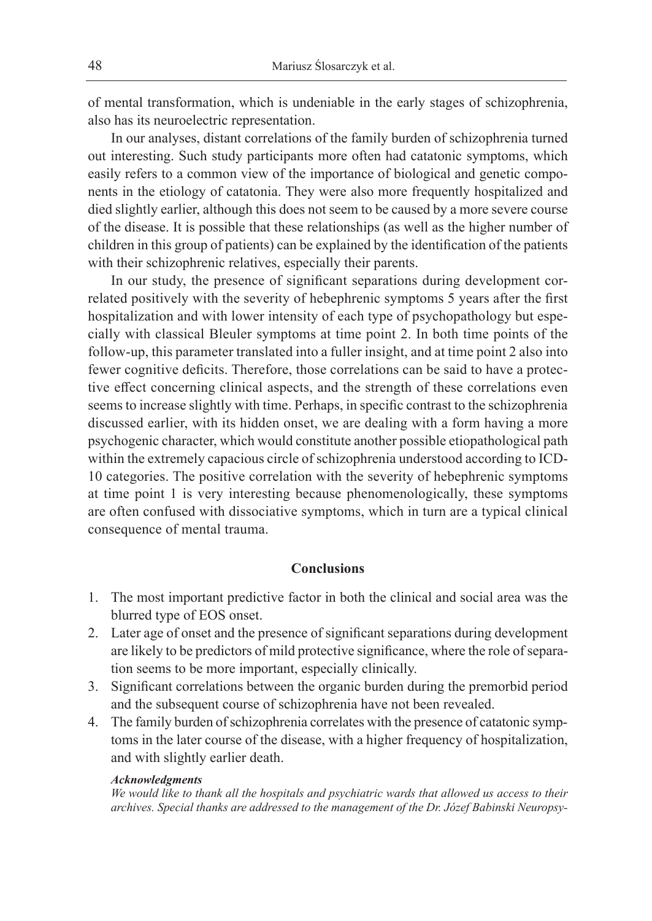of mental transformation, which is undeniable in the early stages of schizophrenia, also has its neuroelectric representation.

In our analyses, distant correlations of the family burden of schizophrenia turned out interesting. Such study participants more often had catatonic symptoms, which easily refers to a common view of the importance of biological and genetic components in the etiology of catatonia. They were also more frequently hospitalized and died slightly earlier, although this does not seem to be caused by a more severe course of the disease. It is possible that these relationships (as well as the higher number of children in this group of patients) can be explained by the identification of the patients with their schizophrenic relatives, especially their parents.

In our study, the presence of significant separations during development correlated positively with the severity of hebephrenic symptoms 5 years after the first hospitalization and with lower intensity of each type of psychopathology but especially with classical Bleuler symptoms at time point 2. In both time points of the follow-up, this parameter translated into a fuller insight, and at time point 2 also into fewer cognitive deficits. Therefore, those correlations can be said to have a protective effect concerning clinical aspects, and the strength of these correlations even seems to increase slightly with time. Perhaps, in specific contrast to the schizophrenia discussed earlier, with its hidden onset, we are dealing with a form having a more psychogenic character, which would constitute another possible etiopathological path within the extremely capacious circle of schizophrenia understood according to ICD-10 categories. The positive correlation with the severity of hebephrenic symptoms at time point 1 is very interesting because phenomenologically, these symptoms are often confused with dissociative symptoms, which in turn are a typical clinical consequence of mental trauma.

#### **Conclusions**

- 1. The most important predictive factor in both the clinical and social area was the blurred type of EOS onset.
- 2. Later age of onset and the presence of significant separations during development are likely to be predictors of mild protective significance, where the role of separation seems to be more important, especially clinically.
- 3. Significant correlations between the organic burden during the premorbid period and the subsequent course of schizophrenia have not been revealed.
- 4. The family burden of schizophrenia correlates with the presence of catatonic symptoms in the later course of the disease, with a higher frequency of hospitalization, and with slightly earlier death.

#### *Acknowledgments*

*We would like to thank all the hospitals and psychiatric wards that allowed us access to their archives. Special thanks are addressed to the management of the Dr. Józef Babinski Neuropsy-*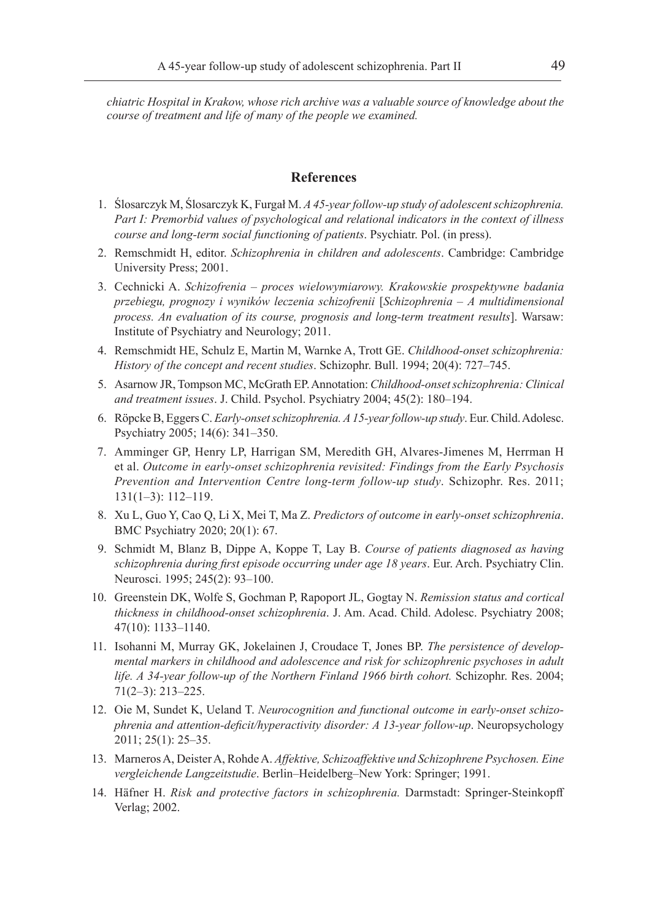*chiatric Hospital in Krakow, whose rich archive was a valuable source of knowledge about the course of treatment and life of many of the people we examined.*

# **References**

- 1. Ślosarczyk M, Ślosarczyk K, Furgał M. *A 45-year follow-up study of adolescent schizophrenia. Part I: Premorbid values of psychological and relational indicators in the context of illness course and long-term social functioning of patients*. Psychiatr. Pol. (in press).
- 2. Remschmidt H, editor. *Schizophrenia in children and adolescents*. Cambridge: Cambridge University Press; 2001.
- 3. Cechnicki A. *Schizofrenia proces wielowymiarowy. Krakowskie prospektywne badania przebiegu, prognozy i wyników leczenia schizofrenii* [*Schizophrenia* – *A multidimensional process. An evaluation of its course, prognosis and long-term treatment results*]. Warsaw: Institute of Psychiatry and Neurology; 2011.
- 4. Remschmidt HE, Schulz E, Martin M, Warnke A, Trott GE. *Childhood-onset schizophrenia: History of the concept and recent studies*. Schizophr. Bull. 1994; 20(4): 727–745.
- 5. Asarnow JR, Tompson MC, McGrath EP. Annotation: *Childhood-onset schizophrenia: Clinical and treatment issues*. J. Child. Psychol. Psychiatry 2004; 45(2): 180–194.
- 6. Röpcke B, Eggers C. *Early-onset schizophrenia. A 15-year follow-up study*. Eur. Child. Adolesc. Psychiatry 2005; 14(6): 341–350.
- 7. Amminger GP, Henry LP, Harrigan SM, Meredith GH, Alvares-Jimenes M, Herrman H et al. *Outcome in early-onset schizophrenia revisited: Findings from the Early Psychosis Prevention and Intervention Centre long-term follow-up study*. Schizophr. Res. 2011; 131(1–3): 112–119.
- 8. Xu L, Guo Y, Cao Q, Li X, Mei T, Ma Z. *Predictors of outcome in early-onset schizophrenia*. BMC Psychiatry 2020; 20(1): 67.
- 9. Schmidt M, Blanz B, Dippe A, Koppe T, Lay B. *Course of patients diagnosed as having schizophrenia during first episode occurring under age 18 years*. Eur. Arch. Psychiatry Clin. Neurosci. 1995; 245(2): 93–100.
- 10. Greenstein DK, Wolfe S, Gochman P, Rapoport JL, Gogtay N. *Remission status and cortical thickness in childhood-onset schizophrenia*. J. Am. Acad. Child. Adolesc. Psychiatry 2008; 47(10): 1133–1140.
- 11. Isohanni M, Murray GK, Jokelainen J, Croudace T, Jones BP. *The persistence of developmental markers in childhood and adolescence and risk for schizophrenic psychoses in adult life. A 34-year follow-up of the Northern Finland 1966 birth cohort.* Schizophr. Res. 2004; 71(2–3): 213–225.
- 12. Oie M, Sundet K, Ueland T. *Neurocognition and functional outcome in early-onset schizophrenia and attention-deficit/hyperactivity disorder: A 13-year follow-up*. Neuropsychology 2011; 25(1): 25–35.
- 13. Marneros A, Deister A, Rohde A. *Affektive, Schizoaffektive und Schizophrene Psychosen. Eine vergleichende Langzeitstudie*. Berlin–Heidelberg–New York: Springer; 1991.
- 14. Häfner H. *Risk and protective factors in schizophrenia.* Darmstadt: Springer-Steinkopff Verlag; 2002.